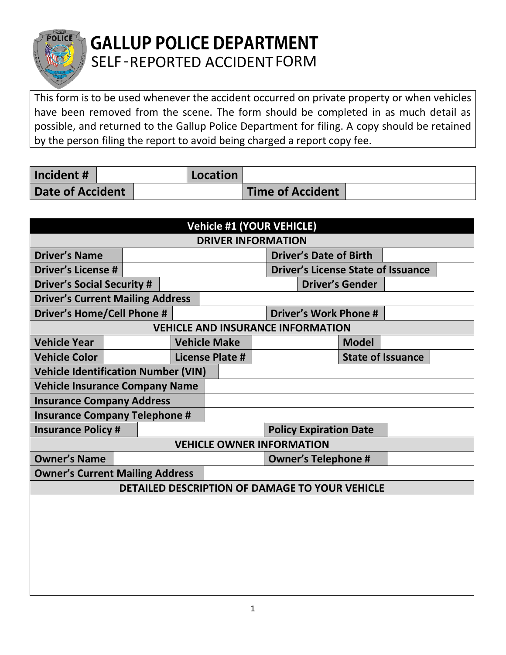

## **GALLUP POLICE DEPARTMENT** SELF -REPORTED ACCIDENTFORM

This form is to be used whenever the accident occurred on private property or when vehicles have been removed from the scene. The form should be completed in as much detail as possible, and returned to the Gallup Police Department for filing. A copy should be retained by the person filing the report to avoid being charged a report copy fee.

| Incident #              |  | Location |                         |  |
|-------------------------|--|----------|-------------------------|--|
| <b>Date of Accident</b> |  |          | <b>Time of Accident</b> |  |

| <b>Vehicle #1 (YOUR VEHICLE)</b>               |  |  |  |                                  |                               |                               |                                          |                          |                                           |  |
|------------------------------------------------|--|--|--|----------------------------------|-------------------------------|-------------------------------|------------------------------------------|--------------------------|-------------------------------------------|--|
| <b>DRIVER INFORMATION</b>                      |  |  |  |                                  |                               |                               |                                          |                          |                                           |  |
| <b>Driver's Name</b>                           |  |  |  |                                  | <b>Driver's Date of Birth</b> |                               |                                          |                          |                                           |  |
| <b>Driver's License #</b>                      |  |  |  |                                  |                               |                               |                                          |                          | <b>Driver's License State of Issuance</b> |  |
| <b>Driver's Social Security #</b>              |  |  |  |                                  | <b>Driver's Gender</b>        |                               |                                          |                          |                                           |  |
| <b>Driver's Current Mailing Address</b>        |  |  |  |                                  |                               |                               |                                          |                          |                                           |  |
| <b>Driver's Home/Cell Phone #</b>              |  |  |  | <b>Driver's Work Phone #</b>     |                               |                               |                                          |                          |                                           |  |
|                                                |  |  |  |                                  |                               |                               | <b>VEHICLE AND INSURANCE INFORMATION</b> |                          |                                           |  |
| <b>Vehicle Year</b>                            |  |  |  | <b>Vehicle Make</b>              |                               |                               |                                          | <b>Model</b>             |                                           |  |
| <b>Vehicle Color</b>                           |  |  |  | License Plate #                  |                               |                               |                                          | <b>State of Issuance</b> |                                           |  |
| <b>Vehicle Identification Number (VIN)</b>     |  |  |  |                                  |                               |                               |                                          |                          |                                           |  |
| <b>Vehicle Insurance Company Name</b>          |  |  |  |                                  |                               |                               |                                          |                          |                                           |  |
| <b>Insurance Company Address</b>               |  |  |  |                                  |                               |                               |                                          |                          |                                           |  |
| <b>Insurance Company Telephone #</b>           |  |  |  |                                  |                               |                               |                                          |                          |                                           |  |
| <b>Insurance Policy #</b>                      |  |  |  |                                  |                               | <b>Policy Expiration Date</b> |                                          |                          |                                           |  |
|                                                |  |  |  | <b>VEHICLE OWNER INFORMATION</b> |                               |                               |                                          |                          |                                           |  |
| <b>Owner's Name</b>                            |  |  |  |                                  |                               |                               | <b>Owner's Telephone #</b>               |                          |                                           |  |
| <b>Owner's Current Mailing Address</b>         |  |  |  |                                  |                               |                               |                                          |                          |                                           |  |
| DETAILED DESCRIPTION OF DAMAGE TO YOUR VEHICLE |  |  |  |                                  |                               |                               |                                          |                          |                                           |  |
|                                                |  |  |  |                                  |                               |                               |                                          |                          |                                           |  |
|                                                |  |  |  |                                  |                               |                               |                                          |                          |                                           |  |
|                                                |  |  |  |                                  |                               |                               |                                          |                          |                                           |  |
|                                                |  |  |  |                                  |                               |                               |                                          |                          |                                           |  |
|                                                |  |  |  |                                  |                               |                               |                                          |                          |                                           |  |
|                                                |  |  |  |                                  |                               |                               |                                          |                          |                                           |  |
|                                                |  |  |  |                                  |                               |                               |                                          |                          |                                           |  |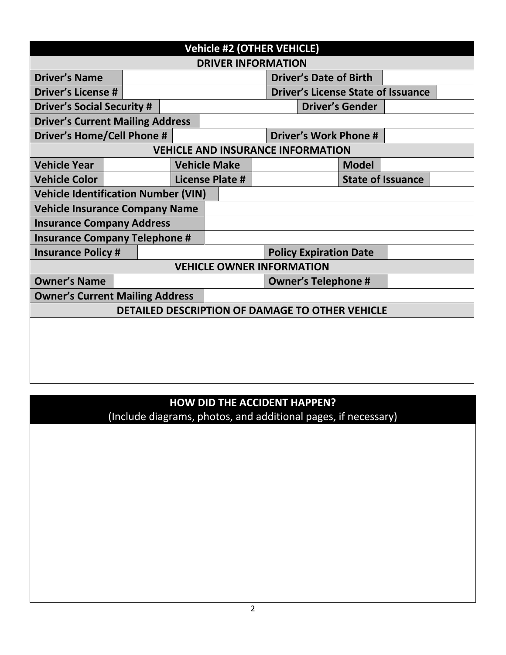| <b>Vehicle #2 (OTHER VEHICLE)</b>               |                                        |  |                     |                                          |  |                                           |  |                              |  |  |
|-------------------------------------------------|----------------------------------------|--|---------------------|------------------------------------------|--|-------------------------------------------|--|------------------------------|--|--|
| <b>DRIVER INFORMATION</b>                       |                                        |  |                     |                                          |  |                                           |  |                              |  |  |
| <b>Driver's Name</b>                            |                                        |  |                     |                                          |  | <b>Driver's Date of Birth</b>             |  |                              |  |  |
| <b>Driver's License #</b>                       |                                        |  |                     |                                          |  | <b>Driver's License State of Issuance</b> |  |                              |  |  |
| <b>Driver's Social Security #</b>               |                                        |  |                     | <b>Driver's Gender</b>                   |  |                                           |  |                              |  |  |
| <b>Driver's Current Mailing Address</b>         |                                        |  |                     |                                          |  |                                           |  |                              |  |  |
| <b>Driver's Home/Cell Phone #</b>               |                                        |  |                     |                                          |  |                                           |  | <b>Driver's Work Phone #</b> |  |  |
|                                                 |                                        |  |                     | <b>VEHICLE AND INSURANCE INFORMATION</b> |  |                                           |  |                              |  |  |
| <b>Vehicle Year</b>                             |                                        |  | <b>Vehicle Make</b> |                                          |  |                                           |  | <b>Model</b>                 |  |  |
| <b>Vehicle Color</b>                            |                                        |  |                     | <b>License Plate #</b>                   |  | <b>State of Issuance</b>                  |  |                              |  |  |
| <b>Vehicle Identification Number (VIN)</b>      |                                        |  |                     |                                          |  |                                           |  |                              |  |  |
| <b>Vehicle Insurance Company Name</b>           |                                        |  |                     |                                          |  |                                           |  |                              |  |  |
| <b>Insurance Company Address</b>                |                                        |  |                     |                                          |  |                                           |  |                              |  |  |
| <b>Insurance Company Telephone #</b>            |                                        |  |                     |                                          |  |                                           |  |                              |  |  |
| <b>Insurance Policy #</b>                       |                                        |  |                     |                                          |  | <b>Policy Expiration Date</b>             |  |                              |  |  |
|                                                 |                                        |  |                     | <b>VEHICLE OWNER INFORMATION</b>         |  |                                           |  |                              |  |  |
| <b>Owner's Name</b>                             |                                        |  |                     | <b>Owner's Telephone #</b>               |  |                                           |  |                              |  |  |
|                                                 | <b>Owner's Current Mailing Address</b> |  |                     |                                          |  |                                           |  |                              |  |  |
| DETAILED DESCRIPTION OF DAMAGE TO OTHER VEHICLE |                                        |  |                     |                                          |  |                                           |  |                              |  |  |
|                                                 |                                        |  |                     |                                          |  |                                           |  |                              |  |  |
|                                                 |                                        |  |                     |                                          |  |                                           |  |                              |  |  |
|                                                 |                                        |  |                     |                                          |  |                                           |  |                              |  |  |
|                                                 |                                        |  |                     |                                          |  |                                           |  |                              |  |  |
|                                                 |                                        |  |                     |                                          |  |                                           |  |                              |  |  |

## **HOW DID THE ACCIDENT HAPPEN?**

(Include diagrams, photos, and additional pages, if necessary)